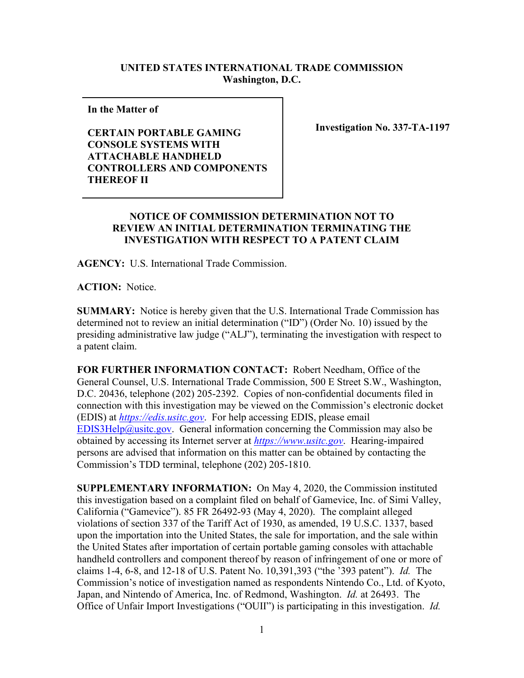## **UNITED STATES INTERNATIONAL TRADE COMMISSION Washington, D.C.**

**In the Matter of** 

**CERTAIN PORTABLE GAMING CONSOLE SYSTEMS WITH ATTACHABLE HANDHELD CONTROLLERS AND COMPONENTS THEREOF II**

**Investigation No. 337-TA-1197**

## **NOTICE OF COMMISSION DETERMINATION NOT TO REVIEW AN INITIAL DETERMINATION TERMINATING THE INVESTIGATION WITH RESPECT TO A PATENT CLAIM**

**AGENCY:** U.S. International Trade Commission.

**ACTION:** Notice.

**SUMMARY:** Notice is hereby given that the U.S. International Trade Commission has determined not to review an initial determination ("ID") (Order No. 10) issued by the presiding administrative law judge ("ALJ"), terminating the investigation with respect to a patent claim.

**FOR FURTHER INFORMATION CONTACT:** Robert Needham, Office of the General Counsel, U.S. International Trade Commission, 500 E Street S.W., Washington, D.C. 20436, telephone (202) 205-2392. Copies of non-confidential documents filed in connection with this investigation may be viewed on the Commission's electronic docket (EDIS) at *[https://edis.usitc.gov](https://edis.usitc.gov/)*. For help accessing EDIS, please email [EDIS3Help@usitc.gov.](mailto:EDIS3Help@usitc.gov) General information concerning the Commission may also be obtained by accessing its Internet server at *[https://www.usitc.gov](https://www.usitc.gov/)*. Hearing-impaired persons are advised that information on this matter can be obtained by contacting the Commission's TDD terminal, telephone (202) 205-1810.

**SUPPLEMENTARY INFORMATION:** On May 4, 2020, the Commission instituted this investigation based on a complaint filed on behalf of Gamevice, Inc. of Simi Valley, California ("Gamevice"). 85 FR 26492-93 (May 4, 2020). The complaint alleged violations of section 337 of the Tariff Act of 1930, as amended, 19 U.S.C. 1337, based upon the importation into the United States, the sale for importation, and the sale within the United States after importation of certain portable gaming consoles with attachable handheld controllers and component thereof by reason of infringement of one or more of claims 1-4, 6-8, and 12-18 of U.S. Patent No. 10,391,393 ("the '393 patent"). *Id.* The Commission's notice of investigation named as respondents Nintendo Co., Ltd. of Kyoto, Japan, and Nintendo of America, Inc. of Redmond, Washington. *Id.* at 26493. The Office of Unfair Import Investigations ("OUII") is participating in this investigation. *Id.*